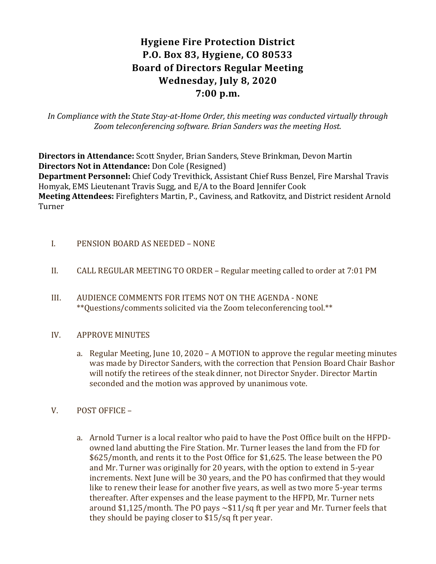# **Hygiene Fire Protection District P.O. Box 83, Hygiene, CO 80533 Board of Directors Regular Meeting Wednesday, July 8, 2020 7:00 p.m.**

*In Compliance with the State Stay-at-Home Order, this meeting was conducted virtually through Zoom teleconferencing software. Brian Sanders was the meeting Host.*

**Directors in Attendance:** Scott Snyder, Brian Sanders, Steve Brinkman, Devon Martin **Directors Not in Attendance:** Don Cole (Resigned) **Department Personnel:** Chief Cody Trevithick, Assistant Chief Russ Benzel, Fire Marshal Travis Homyak, EMS Lieutenant Travis Sugg, and E/A to the Board Jennifer Cook **Meeting Attendees:** Firefighters Martin, P., Caviness, and Ratkovitz, and District resident Arnold Turner

- I. PENSION BOARD AS NEEDED NONE
- II. CALL REGULAR MEETING TO ORDER Regular meeting called to order at 7:01 PM
- III. AUDIENCE COMMENTS FOR ITEMS NOT ON THE AGENDA NONE \*\*Questions/comments solicited via the Zoom teleconferencing tool.\*\*
- IV. APPROVE MINUTES
	- a. Regular Meeting, June 10, 2020 A MOTION to approve the regular meeting minutes was made by Director Sanders, with the correction that Pension Board Chair Bashor will notify the retirees of the steak dinner, not Director Snyder. Director Martin seconded and the motion was approved by unanimous vote.
- V. POST OFFICE
	- a. Arnold Turner is a local realtor who paid to have the Post Office built on the HFPDowned land abutting the Fire Station. Mr. Turner leases the land from the FD for \$625/month, and rents it to the Post Office for \$1,625. The lease between the PO and Mr. Turner was originally for 20 years, with the option to extend in 5-year increments. Next June will be 30 years, and the PO has confirmed that they would like to renew their lease for another five years, as well as two more 5-year terms thereafter. After expenses and the lease payment to the HFPD, Mr. Turner nets around \$1,125/month. The PO pays  $\sim$ \$11/sq ft per year and Mr. Turner feels that they should be paying closer to \$15/sq ft per year.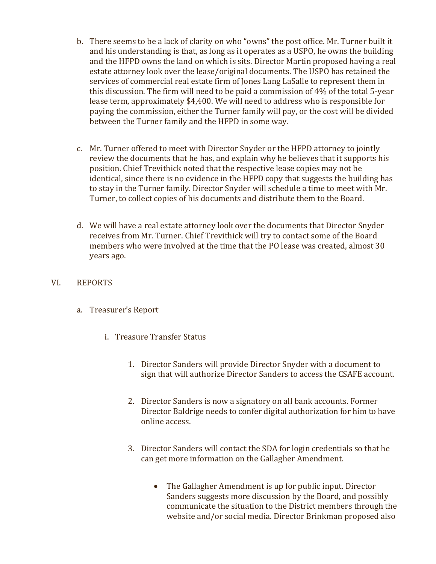- b. There seems to be a lack of clarity on who "owns" the post office. Mr. Turner built it and his understanding is that, as long as it operates as a USPO, he owns the building and the HFPD owns the land on which is sits. Director Martin proposed having a real estate attorney look over the lease/original documents. The USPO has retained the services of commercial real estate firm of Jones Lang LaSalle to represent them in this discussion. The firm will need to be paid a commission of 4% of the total 5-year lease term, approximately \$4,400. We will need to address who is responsible for paying the commission, either the Turner family will pay, or the cost will be divided between the Turner family and the HFPD in some way.
- c. Mr. Turner offered to meet with Director Snyder or the HFPD attorney to jointly review the documents that he has, and explain why he believes that it supports his position. Chief Trevithick noted that the respective lease copies may not be identical, since there is no evidence in the HFPD copy that suggests the building has to stay in the Turner family. Director Snyder will schedule a time to meet with Mr. Turner, to collect copies of his documents and distribute them to the Board.
- d. We will have a real estate attorney look over the documents that Director Snyder receives from Mr. Turner. Chief Trevithick will try to contact some of the Board members who were involved at the time that the PO lease was created, almost 30 years ago.
- VI. REPORTS
	- a. Treasurer's Report
		- i. Treasure Transfer Status
			- 1. Director Sanders will provide Director Snyder with a document to sign that will authorize Director Sanders to access the CSAFE account.
			- 2. Director Sanders is now a signatory on all bank accounts. Former Director Baldrige needs to confer digital authorization for him to have online access.
			- 3. Director Sanders will contact the SDA for login credentials so that he can get more information on the Gallagher Amendment.
				- The Gallagher Amendment is up for public input. Director Sanders suggests more discussion by the Board, and possibly communicate the situation to the District members through the website and/or social media. Director Brinkman proposed also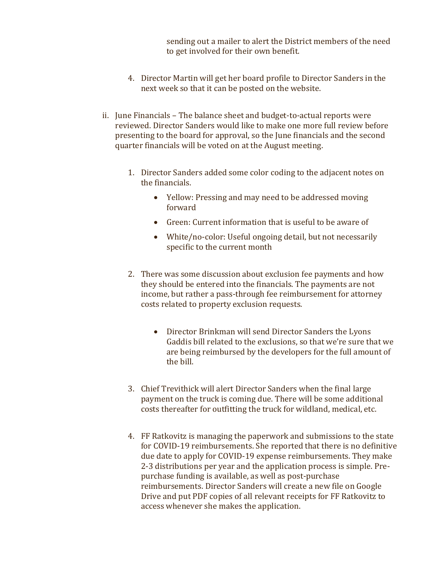sending out a mailer to alert the District members of the need to get involved for their own benefit.

- 4. Director Martin will get her board profile to Director Sanders in the next week so that it can be posted on the website.
- ii. June Financials The balance sheet and budget-to-actual reports were reviewed. Director Sanders would like to make one more full review before presenting to the board for approval, so the June financials and the second quarter financials will be voted on at the August meeting.
	- 1. Director Sanders added some color coding to the adjacent notes on the financials.
		- Yellow: Pressing and may need to be addressed moving forward
		- Green: Current information that is useful to be aware of
		- White/no-color: Useful ongoing detail, but not necessarily specific to the current month
	- 2. There was some discussion about exclusion fee payments and how they should be entered into the financials. The payments are not income, but rather a pass-through fee reimbursement for attorney costs related to property exclusion requests.
		- Director Brinkman will send Director Sanders the Lyons Gaddis bill related to the exclusions, so that we're sure that we are being reimbursed by the developers for the full amount of the bill.
	- 3. Chief Trevithick will alert Director Sanders when the final large payment on the truck is coming due. There will be some additional costs thereafter for outfitting the truck for wildland, medical, etc.
	- 4. FF Ratkovitz is managing the paperwork and submissions to the state for COVID-19 reimbursements. She reported that there is no definitive due date to apply for COVID-19 expense reimbursements. They make 2-3 distributions per year and the application process is simple. Prepurchase funding is available, as well as post-purchase reimbursements. Director Sanders will create a new file on Google Drive and put PDF copies of all relevant receipts for FF Ratkovitz to access whenever she makes the application.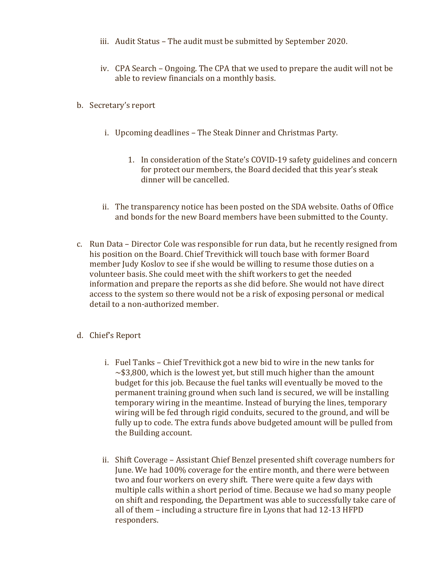- iii. Audit Status The audit must be submitted by September 2020.
- iv. CPA Search Ongoing. The CPA that we used to prepare the audit will not be able to review financials on a monthly basis.
- b. Secretary's report
	- i. Upcoming deadlines The Steak Dinner and Christmas Party.
		- 1. In consideration of the State's COVID-19 safety guidelines and concern for protect our members, the Board decided that this year's steak dinner will be cancelled.
	- ii. The transparency notice has been posted on the SDA website. Oaths of Office and bonds for the new Board members have been submitted to the County.
- c. Run Data Director Cole was responsible for run data, but he recently resigned from his position on the Board. Chief Trevithick will touch base with former Board member Judy Koslov to see if she would be willing to resume those duties on a volunteer basis. She could meet with the shift workers to get the needed information and prepare the reports as she did before. She would not have direct access to the system so there would not be a risk of exposing personal or medical detail to a non-authorized member.
- d. Chief's Report
	- i. Fuel Tanks Chief Trevithick got a new bid to wire in the new tanks for  $\sim$ \$3,800, which is the lowest yet, but still much higher than the amount budget for this job. Because the fuel tanks will eventually be moved to the permanent training ground when such land is secured, we will be installing temporary wiring in the meantime. Instead of burying the lines, temporary wiring will be fed through rigid conduits, secured to the ground, and will be fully up to code. The extra funds above budgeted amount will be pulled from the Building account.
	- ii. Shift Coverage Assistant Chief Benzel presented shift coverage numbers for June. We had 100% coverage for the entire month, and there were between two and four workers on every shift. There were quite a few days with multiple calls within a short period of time. Because we had so many people on shift and responding, the Department was able to successfully take care of all of them – including a structure fire in Lyons that had 12-13 HFPD responders.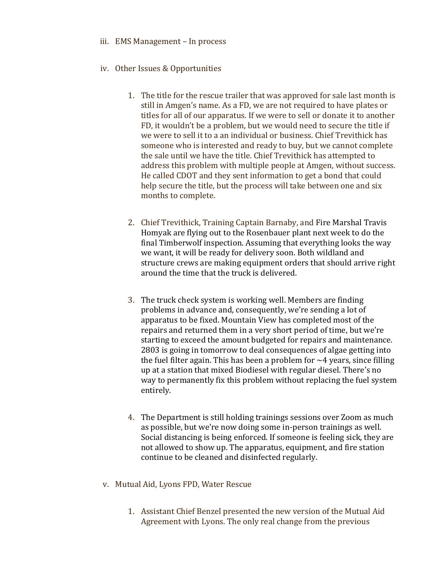- iii. EMS Management In process
- iv. Other Issues & Opportunities
	- 1. The title for the rescue trailer that was approved for sale last month is still in Amgen's name. As a FD, we are not required to have plates or titles for all of our apparatus. If we were to sell or donate it to another FD, it wouldn't be a problem, but we would need to secure the title if we were to sell it to a an individual or business. Chief Trevithick has someone who is interested and ready to buy, but we cannot complete the sale until we have the title. Chief Trevithick has attempted to address this problem with multiple people at Amgen, without success. He called CDOT and they sent information to get a bond that could help secure the title, but the process will take between one and six months to complete.
	- 2. Chief Trevithick, Training Captain Barnaby, and Fire Marshal Travis Homyak are flying out to the Rosenbauer plant next week to do the final Timberwolf inspection. Assuming that everything looks the way we want, it will be ready for delivery soon. Both wildland and structure crews are making equipment orders that should arrive right around the time that the truck is delivered.
	- 3. The truck check system is working well. Members are finding problems in advance and, consequently, we're sending a lot of apparatus to be fixed. Mountain View has completed most of the repairs and returned them in a very short period of time, but we're starting to exceed the amount budgeted for repairs and maintenance. 2803 is going in tomorrow to deal consequences of algae getting into the fuel filter again. This has been a problem for  $\sim$ 4 years, since filling up at a station that mixed Biodiesel with regular diesel. There's no way to permanently fix this problem without replacing the fuel system entirely.
	- 4. The Department is still holding trainings sessions over Zoom as much as possible, but we're now doing some in-person trainings as well. Social distancing is being enforced. If someone is feeling sick, they are not allowed to show up. The apparatus, equipment, and fire station continue to be cleaned and disinfected regularly.
- v. Mutual Aid, Lyons FPD, Water Rescue
	- 1. Assistant Chief Benzel presented the new version of the Mutual Aid Agreement with Lyons. The only real change from the previous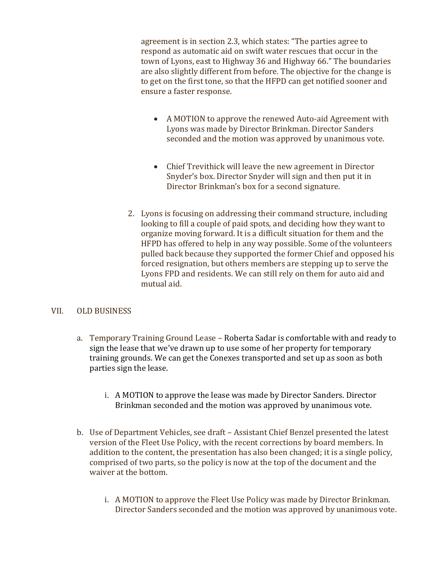agreement is in section 2.3, which states: "The parties agree to respond as automatic aid on swift water rescues that occur in the town of Lyons, east to Highway 36 and Highway 66." The boundaries are also slightly different from before. The objective for the change is to get on the first tone, so that the HFPD can get notified sooner and ensure a faster response.

- A MOTION to approve the renewed Auto-aid Agreement with Lyons was made by Director Brinkman. Director Sanders seconded and the motion was approved by unanimous vote.
- Chief Trevithick will leave the new agreement in Director Snyder's box. Director Snyder will sign and then put it in Director Brinkman's box for a second signature.
- 2. Lyons is focusing on addressing their command structure, including looking to fill a couple of paid spots, and deciding how they want to organize moving forward. It is a difficult situation for them and the HFPD has offered to help in any way possible. Some of the volunteers pulled back because they supported the former Chief and opposed his forced resignation, but others members are stepping up to serve the Lyons FPD and residents. We can still rely on them for auto aid and mutual aid.

### VII. OLD BUSINESS

- a. Temporary Training Ground Lease Roberta Sadar is comfortable with and ready to sign the lease that we've drawn up to use some of her property for temporary training grounds. We can get the Conexes transported and set up as soon as both parties sign the lease.
	- i. A MOTION to approve the lease was made by Director Sanders. Director Brinkman seconded and the motion was approved by unanimous vote.
- b. Use of Department Vehicles, see draft Assistant Chief Benzel presented the latest version of the Fleet Use Policy, with the recent corrections by board members. In addition to the content, the presentation has also been changed; it is a single policy, comprised of two parts, so the policy is now at the top of the document and the waiver at the bottom.
	- i. A MOTION to approve the Fleet Use Policy was made by Director Brinkman. Director Sanders seconded and the motion was approved by unanimous vote.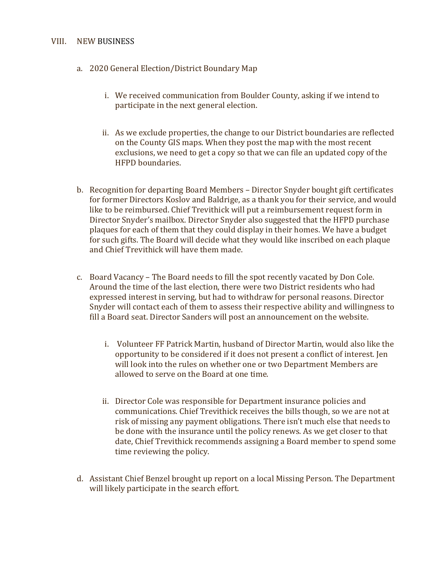#### VIII. NEW BUSINESS

- a. 2020 General Election/District Boundary Map
	- i. We received communication from Boulder County, asking if we intend to participate in the next general election.
	- ii. As we exclude properties, the change to our District boundaries are reflected on the County GIS maps. When they post the map with the most recent exclusions, we need to get a copy so that we can file an updated copy of the HFPD boundaries.
- b. Recognition for departing Board Members Director Snyder bought gift certificates for former Directors Koslov and Baldrige, as a thank you for their service, and would like to be reimbursed. Chief Trevithick will put a reimbursement request form in Director Snyder's mailbox. Director Snyder also suggested that the HFPD purchase plaques for each of them that they could display in their homes. We have a budget for such gifts. The Board will decide what they would like inscribed on each plaque and Chief Trevithick will have them made.
- c. Board Vacancy The Board needs to fill the spot recently vacated by Don Cole. Around the time of the last election, there were two District residents who had expressed interest in serving, but had to withdraw for personal reasons. Director Snyder will contact each of them to assess their respective ability and willingness to fill a Board seat. Director Sanders will post an announcement on the website.
	- i. Volunteer FF Patrick Martin, husband of Director Martin, would also like the opportunity to be considered if it does not present a conflict of interest. Jen will look into the rules on whether one or two Department Members are allowed to serve on the Board at one time.
	- ii. Director Cole was responsible for Department insurance policies and communications. Chief Trevithick receives the bills though, so we are not at risk of missing any payment obligations. There isn't much else that needs to be done with the insurance until the policy renews. As we get closer to that date, Chief Trevithick recommends assigning a Board member to spend some time reviewing the policy.
- d. Assistant Chief Benzel brought up report on a local Missing Person. The Department will likely participate in the search effort.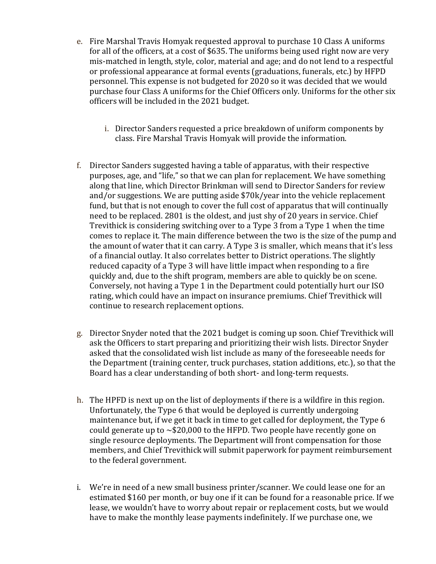- e. Fire Marshal Travis Homyak requested approval to purchase 10 Class A uniforms for all of the officers, at a cost of \$635. The uniforms being used right now are very mis-matched in length, style, color, material and age; and do not lend to a respectful or professional appearance at formal events (graduations, funerals, etc.) by HFPD personnel. This expense is not budgeted for 2020 so it was decided that we would purchase four Class A uniforms for the Chief Officers only. Uniforms for the other six officers will be included in the 2021 budget.
	- i. Director Sanders requested a price breakdown of uniform components by class. Fire Marshal Travis Homyak will provide the information.
- f. Director Sanders suggested having a table of apparatus, with their respective purposes, age, and "life," so that we can plan for replacement. We have something along that line, which Director Brinkman will send to Director Sanders for review and/or suggestions. We are putting aside \$70k/year into the vehicle replacement fund, but that is not enough to cover the full cost of apparatus that will continually need to be replaced. 2801 is the oldest, and just shy of 20 years in service. Chief Trevithick is considering switching over to a Type 3 from a Type 1 when the time comes to replace it. The main difference between the two is the size of the pump and the amount of water that it can carry. A Type 3 is smaller, which means that it's less of a financial outlay. It also correlates better to District operations. The slightly reduced capacity of a Type 3 will have little impact when responding to a fire quickly and, due to the shift program, members are able to quickly be on scene. Conversely, not having a Type 1 in the Department could potentially hurt our ISO rating, which could have an impact on insurance premiums. Chief Trevithick will continue to research replacement options.
- g. Director Snyder noted that the 2021 budget is coming up soon. Chief Trevithick will ask the Officers to start preparing and prioritizing their wish lists. Director Snyder asked that the consolidated wish list include as many of the foreseeable needs for the Department (training center, truck purchases, station additions, etc.), so that the Board has a clear understanding of both short- and long-term requests.
- h. The HPFD is next up on the list of deployments if there is a wildfire in this region. Unfortunately, the Type 6 that would be deployed is currently undergoing maintenance but, if we get it back in time to get called for deployment, the Type 6 could generate up to  $\sim $20,000$  to the HFPD. Two people have recently gone on single resource deployments. The Department will front compensation for those members, and Chief Trevithick will submit paperwork for payment reimbursement to the federal government.
- i. We're in need of a new small business printer/scanner. We could lease one for an estimated \$160 per month, or buy one if it can be found for a reasonable price. If we lease, we wouldn't have to worry about repair or replacement costs, but we would have to make the monthly lease payments indefinitely. If we purchase one, we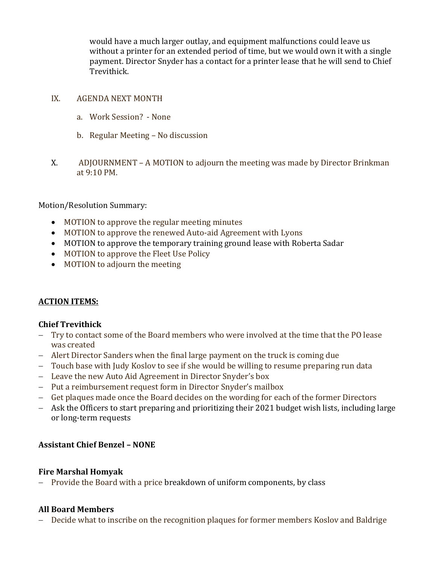would have a much larger outlay, and equipment malfunctions could leave us without a printer for an extended period of time, but we would own it with a single payment. Director Snyder has a contact for a printer lease that he will send to Chief Trevithick.

#### IX. AGENDA NEXT MONTH

- a. Work Session? None
- b. Regular Meeting No discussion
- X. ADJOURNMENT A MOTION to adjourn the meeting was made by Director Brinkman at 9:10 PM.

Motion/Resolution Summary:

- MOTION to approve the regular meeting minutes
- MOTION to approve the renewed Auto-aid Agreement with Lyons
- MOTION to approve the temporary training ground lease with Roberta Sadar
- MOTION to approve the Fleet Use Policy
- MOTION to adjourn the meeting

### **ACTION ITEMS:**

### **Chief Trevithick**

- − Try to contact some of the Board members who were involved at the time that the PO lease was created
- − Alert Director Sanders when the final large payment on the truck is coming due
- − Touch base with Judy Koslov to see if she would be willing to resume preparing run data
- − Leave the new Auto Aid Agreement in Director Snyder's box
- − Put a reimbursement request form in Director Snyder's mailbox
- − Get plaques made once the Board decides on the wording for each of the former Directors
- − Ask the Officers to start preparing and prioritizing their 2021 budget wish lists, including large or long-term requests

### **Assistant Chief Benzel – NONE**

### **Fire Marshal Homyak**

− Provide the Board with a price breakdown of uniform components, by class

### **All Board Members**

− Decide what to inscribe on the recognition plaques for former members Koslov and Baldrige